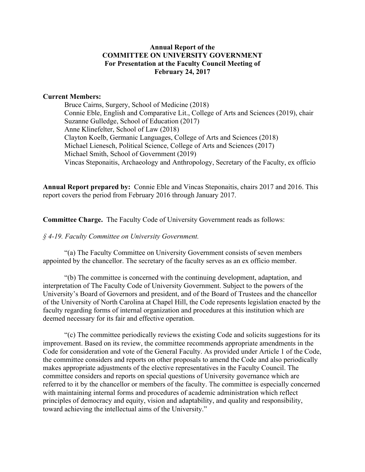## **Annual Report of the COMMITTEE ON UNIVERSITY GOVERNMENT For Presentation at the Faculty Council Meeting of February 24, 2017**

### **Current Members:**

Bruce Cairns, Surgery, School of Medicine (2018) Connie Eble, English and Comparative Lit., College of Arts and Sciences (2019), chair Suzanne Gulledge, School of Education (2017) Anne Klinefelter, School of Law (2018) Clayton Koelb, Germanic Languages, College of Arts and Sciences (2018) Michael Lienesch, Political Science, College of Arts and Sciences (2017) Michael Smith, School of Government (2019) Vincas Steponaitis, Archaeology and Anthropology, Secretary of the Faculty, ex officio

**Annual Report prepared by:** Connie Eble and Vincas Steponaitis, chairs 2017 and 2016. This report covers the period from February 2016 through January 2017.

**Committee Charge.** The Faculty Code of University Government reads as follows:

#### *§ 4-19. Faculty Committee on University Government.*

"(a) The Faculty Committee on University Government consists of seven members appointed by the chancellor. The secretary of the faculty serves as an ex officio member.

"(b) The committee is concerned with the continuing development, adaptation, and interpretation of The Faculty Code of University Government. Subject to the powers of the University's Board of Governors and president, and of the Board of Trustees and the chancellor of the University of North Carolina at Chapel Hill, the Code represents legislation enacted by the faculty regarding forms of internal organization and procedures at this institution which are deemed necessary for its fair and effective operation.

"(c) The committee periodically reviews the existing Code and solicits suggestions for its improvement. Based on its review, the committee recommends appropriate amendments in the Code for consideration and vote of the General Faculty. As provided under Article 1 of the Code, the committee considers and reports on other proposals to amend the Code and also periodically makes appropriate adjustments of the elective representatives in the Faculty Council. The committee considers and reports on special questions of University governance which are referred to it by the chancellor or members of the faculty. The committee is especially concerned with maintaining internal forms and procedures of academic administration which reflect principles of democracy and equity, vision and adaptability, and quality and responsibility, toward achieving the intellectual aims of the University."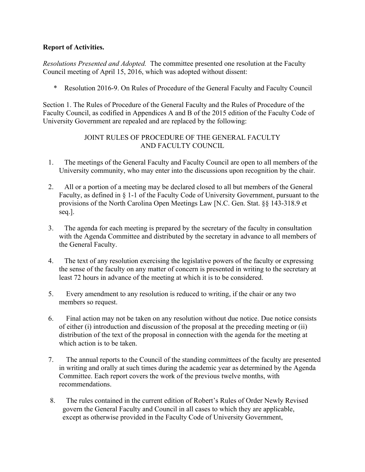# **Report of Activities.**

*Resolutions Presented and Adopted.* The committee presented one resolution at the Faculty Council meeting of April 15, 2016, which was adopted without dissent:

\* Resolution 2016-9. On Rules of Procedure of the General Faculty and Faculty Council

Section 1. The Rules of Procedure of the General Faculty and the Rules of Procedure of the Faculty Council, as codified in Appendices A and B of the 2015 edition of the Faculty Code of University Government are repealed and are replaced by the following:

# JOINT RULES OF PROCEDURE OF THE GENERAL FACULTY AND FACULTY COUNCIL

- 1. The meetings of the General Faculty and Faculty Council are open to all members of the University community, who may enter into the discussions upon recognition by the chair.
- 2. All or a portion of a meeting may be declared closed to all but members of the General Faculty, as defined in § 1-1 of the Faculty Code of University Government, pursuant to the provisions of the North Carolina Open Meetings Law [N.C. Gen. Stat. §§ 143-318.9 et seq.].
- 3. The agenda for each meeting is prepared by the secretary of the faculty in consultation with the Agenda Committee and distributed by the secretary in advance to all members of the General Faculty.
- 4. The text of any resolution exercising the legislative powers of the faculty or expressing the sense of the faculty on any matter of concern is presented in writing to the secretary at least 72 hours in advance of the meeting at which it is to be considered.
- 5. Every amendment to any resolution is reduced to writing, if the chair or any two members so request.
- 6. Final action may not be taken on any resolution without due notice. Due notice consists of either (i) introduction and discussion of the proposal at the preceding meeting or (ii) distribution of the text of the proposal in connection with the agenda for the meeting at which action is to be taken.
- 7. The annual reports to the Council of the standing committees of the faculty are presented in writing and orally at such times during the academic year as determined by the Agenda Committee. Each report covers the work of the previous twelve months, with recommendations.
- 8. The rules contained in the current edition of Robert's Rules of Order Newly Revised govern the General Faculty and Council in all cases to which they are applicable, except as otherwise provided in the Faculty Code of University Government,